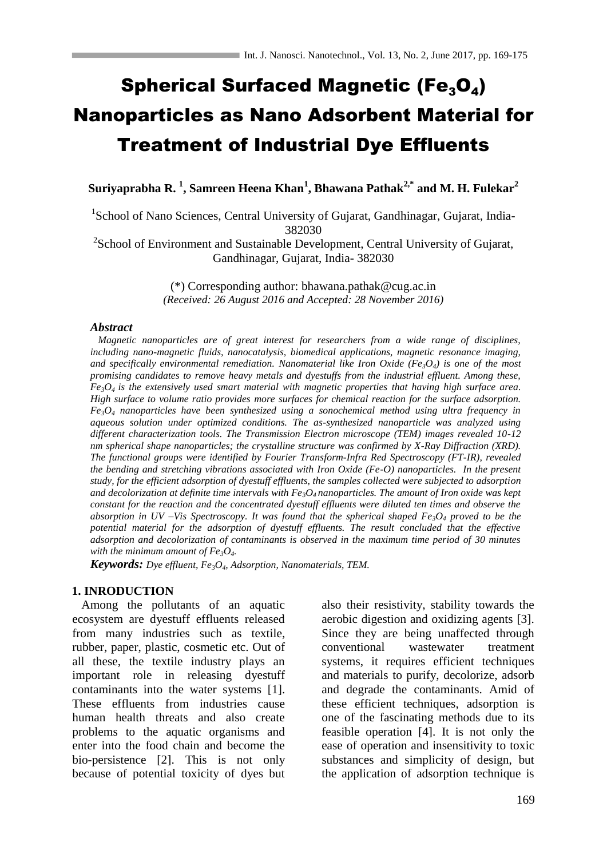# Spherical Surfaced Magnetic (Fe<sub>3</sub>O<sub>4</sub>) Nanoparticles as Nano Adsorbent Material for Treatment of Industrial Dye Effluents

**Suriyaprabha R. <sup>1</sup> , Samreen Heena Khan<sup>1</sup> , Bhawana Pathak2,\* and M. H. Fulekar<sup>2</sup>**

<sup>1</sup>School of Nano Sciences, Central University of Gujarat, Gandhinagar, Gujarat, India-382030

<sup>2</sup>School of Environment and Sustainable Development, Central University of Gujarat, Gandhinagar, Gujarat, India- 382030

> (\*) Corresponding author: [bhawana.pathak@cug.ac.in](mailto:bhawana.pathak@cug.ac.in) *(Received: 26 August 2016 and Accepted: 28 November 2016)*

#### *Abstract*

 *Magnetic nanoparticles are of great interest for researchers from a wide range of disciplines, including nano-magnetic fluids, nanocatalysis, biomedical applications, magnetic resonance imaging,*  and specifically environmental remediation. Nanomaterial like Iron Oxide ( $Fe<sub>3</sub>O<sub>4</sub>$ ) is one of the most *promising candidates to remove heavy metals and dyestuffs from the industrial effluent. Among these, Fe3O4 is the extensively used smart material with magnetic properties that having high surface area. High surface to volume ratio provides more surfaces for chemical reaction for the surface adsorption.*   $Fe<sub>3</sub>O<sub>4</sub>$  *nanoparticles have been synthesized using a sonochemical method using ultra frequency in aqueous solution under optimized conditions. The as-synthesized nanoparticle was analyzed using different characterization tools. The Transmission Electron microscope (TEM) images revealed 10-12 nm spherical shape nanoparticles; the crystalline structure was confirmed by X-Ray Diffraction (XRD). The functional groups were identified by Fourier Transform-Infra Red Spectroscopy (FT-IR), revealed the bending and stretching vibrations associated with Iron Oxide (Fe-O) nanoparticles. In the present study, for the efficient adsorption of dyestuff effluents, the samples collected were subjected to adsorption and decolorization at definite time intervals with Fe3O4 nanoparticles. The amount of Iron oxide was kept constant for the reaction and the concentrated dyestuff effluents were diluted ten times and observe the absorption in UV –Vis Spectroscopy. It was found that the spherical shaped Fe3O<sup>4</sup> proved to be the potential material for the adsorption of dyestuff effluents. The result concluded that the effective adsorption and decolorization of contaminants is observed in the maximum time period of 30 minutes with the minimum amount of Fe3O4.*

*Keywords: Dye effluent, Fe3O4, Adsorption, Nanomaterials, TEM.*

#### **1. INRODUCTION**

 Among the pollutants of an aquatic ecosystem are dyestuff effluents released from many industries such as textile, rubber, paper, plastic, cosmetic etc. Out of all these, the textile industry plays an important role in releasing dyestuff contaminants into the water systems [1]. These effluents from industries cause human health threats and also create problems to the aquatic organisms and enter into the food chain and become the bio-persistence [2]. This is not only because of potential toxicity of dyes but also their resistivity, stability towards the aerobic digestion and oxidizing agents [3]. Since they are being unaffected through conventional wastewater treatment systems, it requires efficient techniques and materials to purify, decolorize, adsorb and degrade the contaminants. Amid of these efficient techniques, adsorption is one of the fascinating methods due to its feasible operation [4]. It is not only the ease of operation and insensitivity to toxic substances and simplicity of design, but the application of adsorption technique is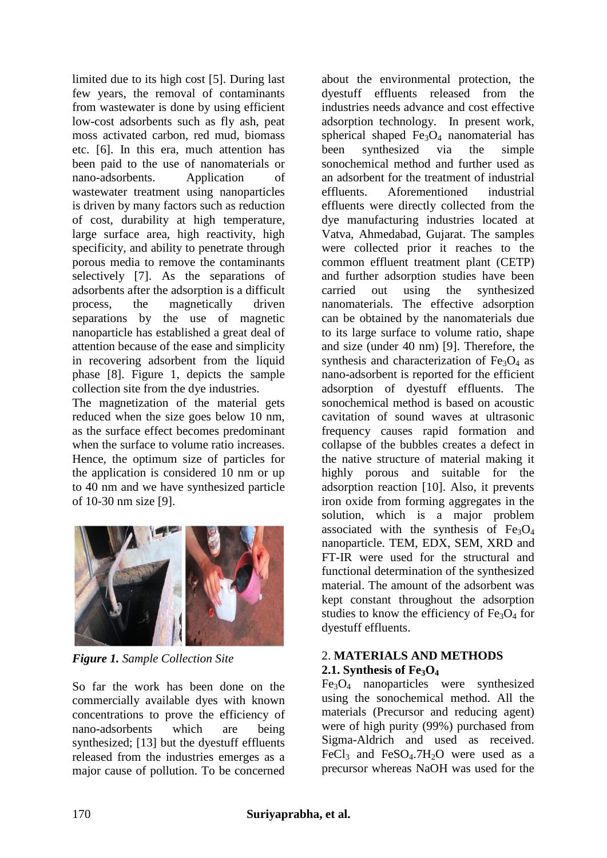limited due to its high cost [5]. During last few years, the removal of contaminants from wastewater is done by using efficient low-cost adsorbents such as fly ash, peat moss activated carbon, red mud, biomass etc. [6]. In this era, much attention has been paid to the use of nanomaterials or nano-adsorbents. Application of wastewater treatment using nanoparticles is driven by many factors such as reduction of cost, durability at high temperature, large surface area, high reactivity, high specificity, and ability to penetrate through porous media to remove the contaminants selectively [7]. As the separations of adsorbents after the adsorption is a difficult process, the magnetically driven separations by the use of magnetic nanoparticle has established a great deal of attention because of the ease and simplicity in recovering adsorbent from the liquid phase [8]. Figure 1, depicts the sample collection site from the dye industries.

The magnetization of the material gets reduced when the size goes below 10 nm, as the surface effect becomes predominant when the surface to volume ratio increases. Hence, the optimum size of particles for the application is considered 10 nm or up to 40 nm and we have synthesized particle of 10-30 nm size [9].



*Figure 1. Sample Collection Site*

So far the work has been done on the commercially available dyes with known concentrations to prove the efficiency of nano-adsorbents which are being synthesized; [13] but the dyestuff effluents released from the industries emerges as a major cause of pollution. To be concerned about the environmental protection, the dyestuff effluents released from the industries needs advance and cost effective adsorption technology. In present work, spherical shaped  $Fe<sub>3</sub>O<sub>4</sub>$  nanomaterial has been synthesized via the simple sonochemical method and further used as an adsorbent for the treatment of industrial effluents. Aforementioned industrial effluents were directly collected from the dye manufacturing industries located at Vatva, Ahmedabad, Gujarat. The samples were collected prior it reaches to the common effluent treatment plant (CETP) and further adsorption studies have been carried out using the synthesized nanomaterials. The effective adsorption can be obtained by the nanomaterials due to its large surface to volume ratio, shape and size (under 40 nm) [9]. Therefore, the synthesis and characterization of  $Fe<sub>3</sub>O<sub>4</sub>$  as nano-adsorbent is reported for the efficient adsorption of dyestuff effluents. The sonochemical method is based on acoustic cavitation of sound waves at ultrasonic frequency causes rapid formation and collapse of the bubbles creates a defect in the native structure of material making it highly porous and suitable for the adsorption reaction [10]. Also, it prevents iron oxide from forming aggregates in the solution, which is a major problem associated with the synthesis of  $Fe<sub>3</sub>O<sub>4</sub>$ nanoparticle. TEM, EDX, SEM, XRD and FT-IR were used for the structural and functional determination of the synthesized material. The amount of the adsorbent was kept constant throughout the adsorption studies to know the efficiency of  $Fe<sub>3</sub>O<sub>4</sub>$  for dyestuff effluents.

# 2. **MATERIALS AND METHODS 2.1. Synthesis of Fe3O<sup>4</sup>**

Fe3O<sup>4</sup> nanoparticles were synthesized using the sonochemical method. All the materials (Precursor and reducing agent) were of high purity (99%) purchased from Sigma-Aldrich and used as received. FeCl<sub>3</sub> and FeSO<sub>4</sub>.7H<sub>2</sub>O were used as a precursor whereas NaOH was used for the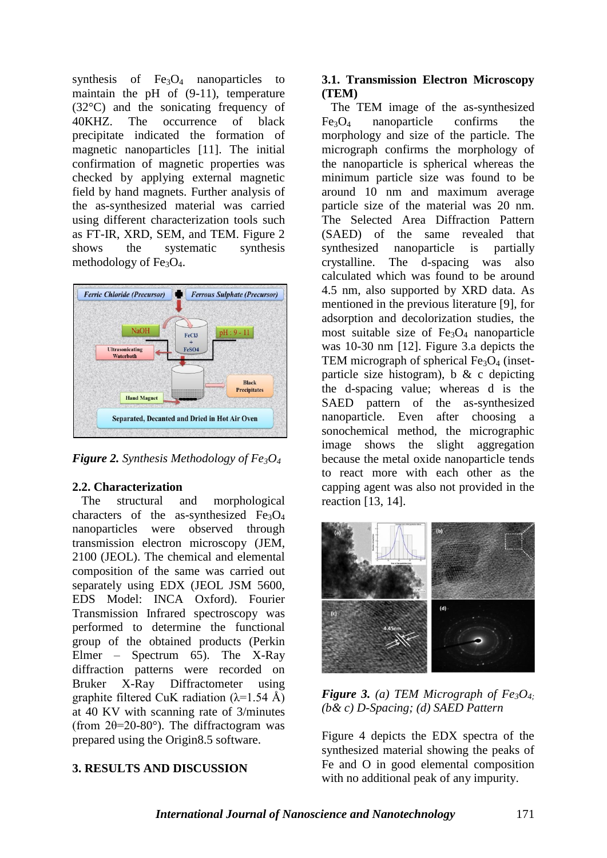synthesis of  $Fe<sub>3</sub>O<sub>4</sub>$  nanoparticles to maintain the pH of (9-11), temperature (32°C) and the sonicating frequency of 40KHZ. The occurrence of black precipitate indicated the formation of magnetic nanoparticles [11]. The initial confirmation of magnetic properties was checked by applying external magnetic field by hand magnets. Further analysis of the as-synthesized material was carried using different characterization tools such as FT-IR, XRD, SEM, and TEM. Figure 2 shows the systematic synthesis methodology of  $Fe<sub>3</sub>O<sub>4</sub>$ .



*Figure 2. Synthesis Methodology of Fe3O<sup>4</sup>*

# **2.2. Characterization**

 The structural and morphological characters of the as-synthesized  $Fe<sub>3</sub>O<sub>4</sub>$ nanoparticles were observed through transmission electron microscopy (JEM, 2100 (JEOL). The chemical and elemental composition of the same was carried out separately using EDX (JEOL JSM 5600, EDS Model: INCA Oxford). Fourier Transmission Infrared spectroscopy was performed to determine the functional group of the obtained products (Perkin Elmer – Spectrum 65). The X-Ray diffraction patterns were recorded on Bruker X-Ray Diffractometer using graphite filtered CuK radiation  $(\lambda=1.54 \text{ Å})$ at 40 KV with scanning rate of 3/minutes (from  $2\theta = 20-80^\circ$ ). The diffractogram was prepared using the Origin8.5 software.

# **3. RESULTS AND DISCUSSION**

# **3.1. Transmission Electron Microscopy (TEM)**

 The TEM image of the as-synthesized  $Fe<sub>3</sub>O<sub>4</sub>$  nanoparticle confirms the morphology and size of the particle. The micrograph confirms the morphology of the nanoparticle is spherical whereas the minimum particle size was found to be around 10 nm and maximum average particle size of the material was 20 nm. The Selected Area Diffraction Pattern (SAED) of the same revealed that synthesized nanoparticle is partially crystalline. The d-spacing was also calculated which was found to be around 4.5 nm, also supported by XRD data. As mentioned in the previous literature [9], for adsorption and decolorization studies, the most suitable size of  $Fe<sub>3</sub>O<sub>4</sub>$  nanoparticle was 10-30 nm [12]. Figure 3.a depicts the TEM micrograph of spherical  $Fe<sub>3</sub>O<sub>4</sub>$  (insetparticle size histogram), b  $\& c$  depicting the d-spacing value; whereas d is the SAED pattern of the as-synthesized nanoparticle. Even after choosing a sonochemical method, the micrographic image shows the slight aggregation because the metal oxide nanoparticle tends to react more with each other as the capping agent was also not provided in the reaction [13, 14].



*Figure 3. (a) TEM Micrograph of Fe<sub>3</sub>O<sub>4</sub>. (b& c) D-Spacing; (d) SAED Pattern*

Figure 4 depicts the EDX spectra of the synthesized material showing the peaks of Fe and O in good elemental composition with no additional peak of any impurity.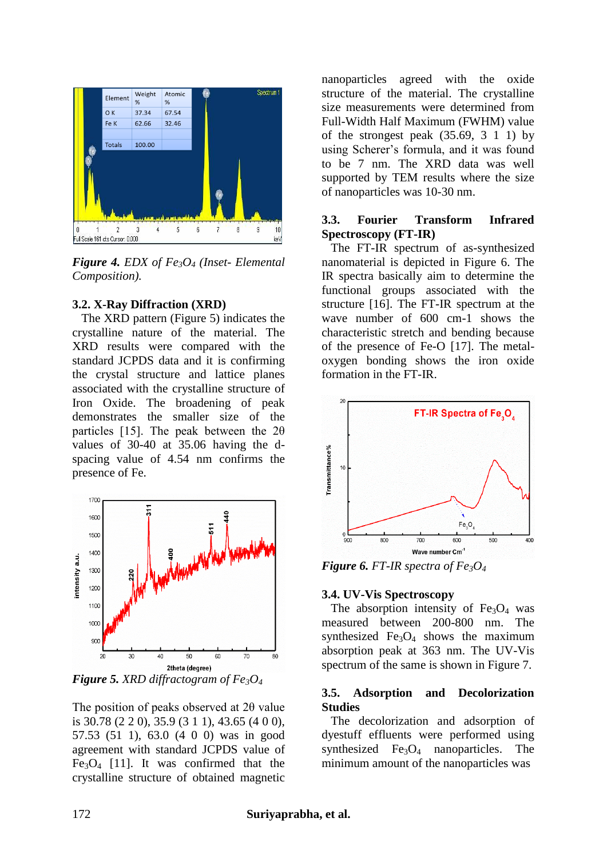

*Figure 4. EDX of Fe3O<sup>4</sup> (Inset- Elemental Composition).*

#### **3.2. X-Ray Diffraction (XRD)**

 The XRD pattern (Figure 5) indicates the crystalline nature of the material. The XRD results were compared with the standard JCPDS data and it is confirming the crystal structure and lattice planes associated with the crystalline structure of Iron Oxide. The broadening of peak demonstrates the smaller size of the particles [15]. The peak between the  $2\theta$ values of 30-40 at 35.06 having the dspacing value of 4.54 nm confirms the presence of Fe.



*Figure 5. XRD diffractogram of Fe3O<sup>4</sup>*

The position of peaks observed at 2θ value is 30.78 (2 2 0), 35.9 (3 1 1), 43.65 (4 0 0), 57.53 (51 1), 63.0 (4 0 0) was in good agreement with standard JCPDS value of  $Fe<sub>3</sub>O<sub>4</sub>$  [11]. It was confirmed that the crystalline structure of obtained magnetic

nanoparticles agreed with the oxide structure of the material. The crystalline size measurements were determined from Full-Width Half Maximum (FWHM) value of the strongest peak  $(35.69, 3 \ 1 \ 1)$  by using Scherer's formula, and it was found to be 7 nm. The XRD data was well supported by TEM results where the size of nanoparticles was 10-30 nm.

# **3.3. Fourier Transform Infrared Spectroscopy (FT-IR)**

 The FT-IR spectrum of as-synthesized nanomaterial is depicted in Figure 6. The IR spectra basically aim to determine the functional groups associated with the structure [16]. The FT-IR spectrum at the wave number of 600 cm-1 shows the characteristic stretch and bending because of the presence of Fe-O [17]. The metaloxygen bonding shows the iron oxide formation in the FT-IR.



*Figure 6. FT-IR spectra of Fe*<sup>3</sup> $O$ <sup>4</sup>

# **3.4. UV-Vis Spectroscopy**

The absorption intensity of  $Fe<sub>3</sub>O<sub>4</sub>$  was measured between 200-800 nm. The synthesized  $Fe<sub>3</sub>O<sub>4</sub>$  shows the maximum absorption peak at 363 nm. The UV-Vis spectrum of the same is shown in Figure 7.

# **3.5. Adsorption and Decolorization Studies**

 The decolorization and adsorption of dyestuff effluents were performed using synthesized  $Fe<sub>3</sub>O<sub>4</sub>$  nanoparticles. The minimum amount of the nanoparticles was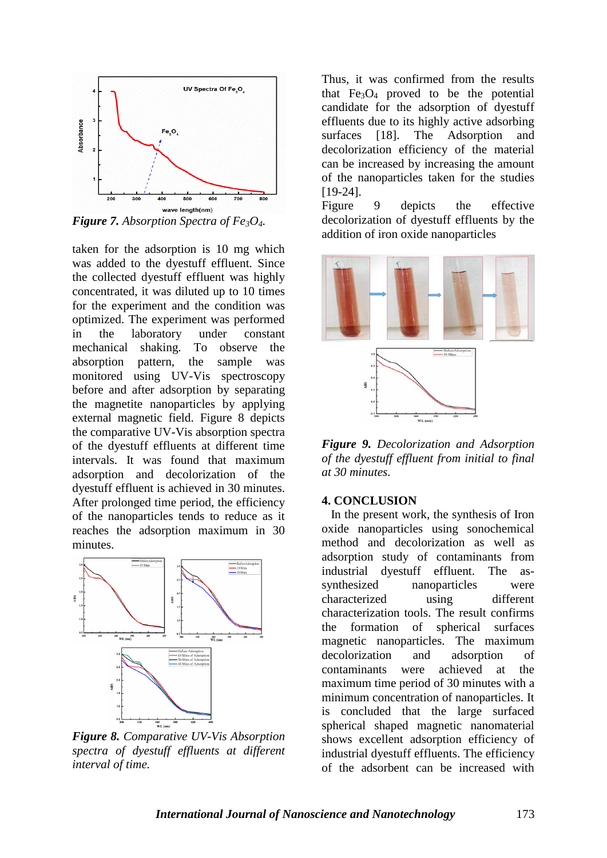

*Figure 7. Absorption Spectra of Fe3O4.*

taken for the adsorption is 10 mg which was added to the dyestuff effluent. Since the collected dyestuff effluent was highly concentrated, it was diluted up to 10 times for the experiment and the condition was optimized. The experiment was performed in the laboratory under constant mechanical shaking. To observe the absorption pattern, the sample was monitored using UV-Vis spectroscopy before and after adsorption by separating the magnetite nanoparticles by applying external magnetic field. Figure 8 depicts the comparative UV-Vis absorption spectra of the dyestuff effluents at different time intervals. It was found that maximum adsorption and decolorization of the dyestuff effluent is achieved in 30 minutes. After prolonged time period, the efficiency of the nanoparticles tends to reduce as it reaches the adsorption maximum in 30 minutes.



*Figure 8. Comparative UV-Vis Absorption spectra of dyestuff effluents at different interval of time.*

Thus, it was confirmed from the results that  $Fe<sub>3</sub>O<sub>4</sub>$  proved to be the potential candidate for the adsorption of dyestuff effluents due to its highly active adsorbing surfaces [18]. The Adsorption and decolorization efficiency of the material can be increased by increasing the amount of the nanoparticles taken for the studies [19-24].

Figure 9 depicts the effective decolorization of dyestuff effluents by the addition of iron oxide nanoparticles



*Figure 9. Decolorization and Adsorption of the dyestuff effluent from initial to final at 30 minutes.*

#### **4. CONCLUSION**

 In the present work, the synthesis of Iron oxide nanoparticles using sonochemical method and decolorization as well as adsorption study of contaminants from industrial dyestuff effluent. The assynthesized nanoparticles were characterized using different characterization tools. The result confirms the formation of spherical surfaces magnetic nanoparticles. The maximum decolorization and adsorption of contaminants were achieved at the maximum time period of 30 minutes with a minimum concentration of nanoparticles. It is concluded that the large surfaced spherical shaped magnetic nanomaterial shows excellent adsorption efficiency of industrial dyestuff effluents. The efficiency of the adsorbent can be increased with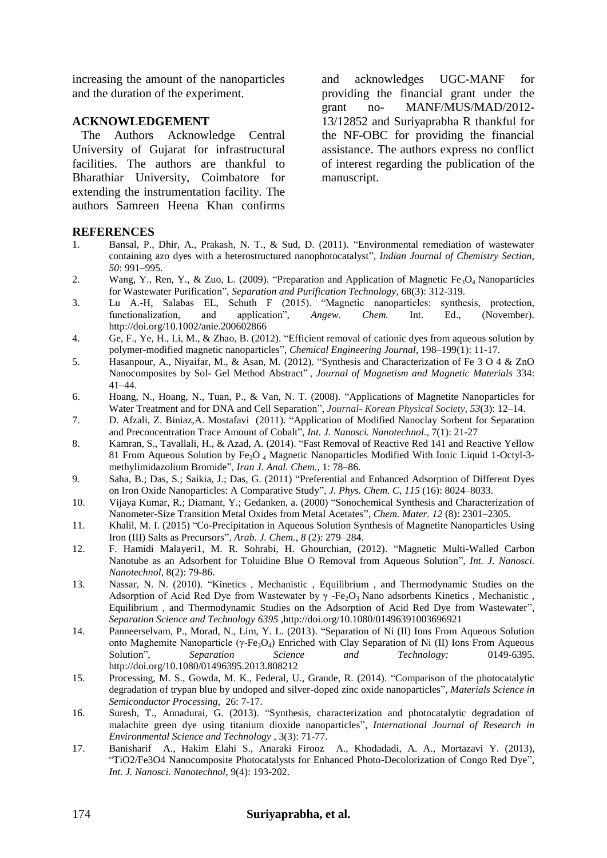increasing the amount of the nanoparticles and the duration of the experiment.

### **ACKNOWLEDGEMENT**

 The Authors Acknowledge Central University of Gujarat for infrastructural facilities. The authors are thankful to Bharathiar University, Coimbatore for extending the instrumentation facility. The authors Samreen Heena Khan confirms

and acknowledges UGC-MANF for providing the financial grant under the grant no- MANF/MUS/MAD/2012- 13/12852 and Suriyaprabha R thankful for the NF-OBC for providing the financial assistance. The authors express no conflict of interest regarding the publication of the manuscript.

#### **REFERENCES**

- 1. Bansal, P., Dhir, A., Prakash, N. T., & Sud, D. (2011). "Environmental remediation of wastewater containing azo dyes with a heterostructured nanophotocatalyst", *Indian Journal of Chemistry Section, 50*: 991–995.
- 2. Wang, Y., Ren, Y., & Zuo, L. (2009). "Preparation and Application of Magnetic Fe<sub>3</sub>O<sub>4</sub> Nanoparticles for Wastewater Purification", *Separation and Purification Technology,* 68(3): 312-319*.*
- 3. Lu A.-H, Salabas EL, Schuth F (2015). "Magnetic nanoparticles: synthesis, protection, functionalization, and application", *Angew. Chem.* Int. Ed., (November). http://doi.org/10.1002/anie.200602866
- 4. Ge, F., Ye, H., Li, M., & Zhao, B. (2012). "Efficient removal of cationic dyes from aqueous solution by polymer-modified magnetic nanoparticles", *Chemical Engineering Journal*, 198–199(1): 11-17.
- 5. Hasanpour, A., Niyaifar, M., & Asan, M. (2012). "Synthesis and Characterization of Fe 3 O 4 & ZnO Nanocomposites by Sol- Gel Method Abstract" , *Journal of Magnetism and Magnetic Materials* 334: 41–44.
- 6. Hoang, N., Hoang, N., Tuan, P., & Van, N. T. (2008). "Applications of Magnetite Nanoparticles for Water Treatment and for DNA and Cell Separation", *Journal- Korean Physical Society*, *53*(3): 12–14.
- 7. D. Afzali, Z. Biniaz,A. Mostafavi (2011). "Application of Modified Nanoclay Sorbent for Separation and Preconcentration Trace Amount of Cobalt", *Int. J. Nanosci. Nanotechnol.,* 7(1): 21-27
- 8. Kamran, S., Tavallali, H., & Azad, A. (2014). "Fast Removal of Reactive Red 141 and Reactive Yellow 81 From Aqueous Solution by Fe<sub>3</sub>O<sub>4</sub> Magnetic Nanoparticles Modified With Ionic Liquid 1-Octyl-3methylimidazolium Bromide"*, Iran J. Anal. Chem.*, 1: 78–86.
- 9. Saha, B.; Das, S.; Saikia, J.; Das, G. (2011) "Preferential and Enhanced Adsorption of Different Dyes on Iron Oxide Nanoparticles: A Comparative Study", *J. Phys. Chem. C*, *115* (16): 8024–8033.
- 10. Vijaya Kumar, R.; Diamant, Y.; Gedanken, a. (2000) "Sonochemical Synthesis and Characterization of Nanometer-Size Transition Metal Oxides from Metal Acetates", *Chem. Mater. 12* (8): 2301–2305.
- 11. Khalil, M. I. (2015) "Co-Precipitation in Aqueous Solution Synthesis of Magnetite Nanoparticles Using Iron (III) Salts as Precursors", *Arab. J. Chem.*, *8* (2): 279–284.
- 12. F. Hamidi Malayeri1, M. R. Sohrabi, H. Ghourchian, (2012). "Magnetic Multi-Walled Carbon Nanotube as an Adsorbent for Toluidine Blue O Removal from Aqueous Solution", *Int. J. Nanosci. Nanotechnol*, 8(2): 79-86.
- 13. Nassar, N. N. (2010). "Kinetics , Mechanistic , Equilibrium , and Thermodynamic Studies on the Adsorption of Acid Red Dye from Wastewater by  $\gamma$  -Fe<sub>2</sub>O<sub>3</sub> Nano adsorbents Kinetics, Mechanistic, Equilibrium , and Thermodynamic Studies on the Adsorption of Acid Red Dye from Wastewater", *Separation Science and Technology 6395* ,http://doi.org/10.1080/01496391003696921
- 14. Panneerselvam, P., Morad, N., Lim, Y. L. (2013). "Separation of Ni (II) Ions From Aqueous Solution onto Maghemite Nanoparticle (γ-Fe<sub>3</sub>O<sub>4</sub>) Enriched with Clay Separation of Ni (II) Ions From Aqueous Solution". *Separation Science and Technology*: 0149-6395. Solution", *Separation Science and Technology:* http://doi.org/10.1080/01496395.2013.808212
- 15. Processing, M. S., Gowda, M. K., Federal, U., Grande, R. (2014). "Comparison of the photocatalytic degradation of trypan blue by undoped and silver-doped zinc oxide nanoparticles"*, Materials Science in Semiconductor Processing,* 26: 7-17.
- 16. Suresh, T., Annadurai, G. (2013). "Synthesis, characterization and photocatalytic degradation of malachite green dye using titanium dioxide nanoparticles", *International Journal of Research in Environmental Science and Technology* , 3(3): 71-77.
- 17. Banisharif A., Hakim Elahi S., Anaraki Firooz A., Khodadadi, A. A., Mortazavi Y. (2013), "TiO2/Fe3O4 Nanocomposite Photocatalysts for Enhanced Photo-Decolorization of Congo Red Dye", *Int. J. Nanosci. Nanotechnol,* 9(4): 193-202.